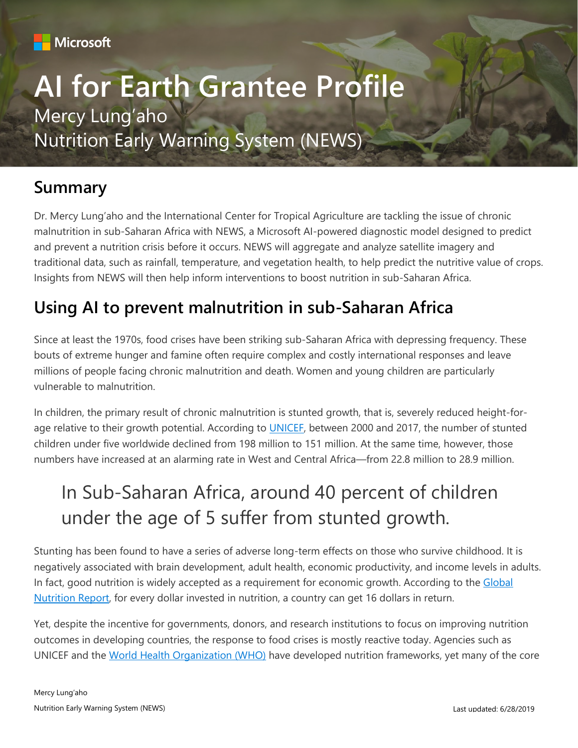

# **AI for Earth Grantee Profile** Mercy Lung'aho Nutrition Early Warning System (NEWS)

### **Summary**

Dr. Mercy Lung'aho and the International Center for Tropical Agriculture are tackling the issue of chronic malnutrition in sub-Saharan Africa with NEWS, a Microsoft AI-powered diagnostic model designed to predict and prevent a nutrition crisis before it occurs. NEWS will aggregate and analyze satellite imagery and traditional data, such as rainfall, temperature, and vegetation health, to help predict the nutritive value of crops. Insights from NEWS will then help inform interventions to boost nutrition in sub-Saharan Africa.

### **Using AI to prevent malnutrition in sub-Saharan Africa**

Since at least the 1970s, food crises have been striking sub-Saharan Africa with depressing frequency. These bouts of extreme hunger and famine often require complex and costly international responses and leave millions of people facing chronic malnutrition and death. Women and young children are particularly vulnerable to malnutrition.

In children, the primary result of chronic malnutrition is stunted growth, that is, severely reduced height-for-age relative to their growth potential. According to [UNICEF,](https://data.unicef.org/topic/nutrition/malnutrition/) between 2000 and 2017, the number of stunted children under five worldwide declined from 198 million to 151 million. At the same time, however, those numbers have increased at an alarming rate in West and Central Africa—from 22.8 million to 28.9 million.

## In Sub-Saharan Africa, around 40 percent of children under the age of 5 suffer from stunted growth.

Stunting has been found to have a series of adverse long-term effects on those who survive childhood. It is negatively associated with brain development, adult health, economic productivity, and income levels in adults. In fact, good nutrition is widely accepted as a requirement for economic growth. According to the [Global](http://globalnutritionreport.org/the-report/)  [Nutrition Report,](http://globalnutritionreport.org/the-report/) for every dollar invested in nutrition, a country can get 16 dollars in return.

Yet, despite the incentive for governments, donors, and research institutions to focus on improving nutrition outcomes in developing countries, the response to food crises is mostly reactive today. Agencies such as UNICEF and the [World Health Organization \(WHO\)](http://www.who.int/nutrition/publications/operational-guidance-GNMF-indicators/en/) have developed nutrition frameworks, yet many of the core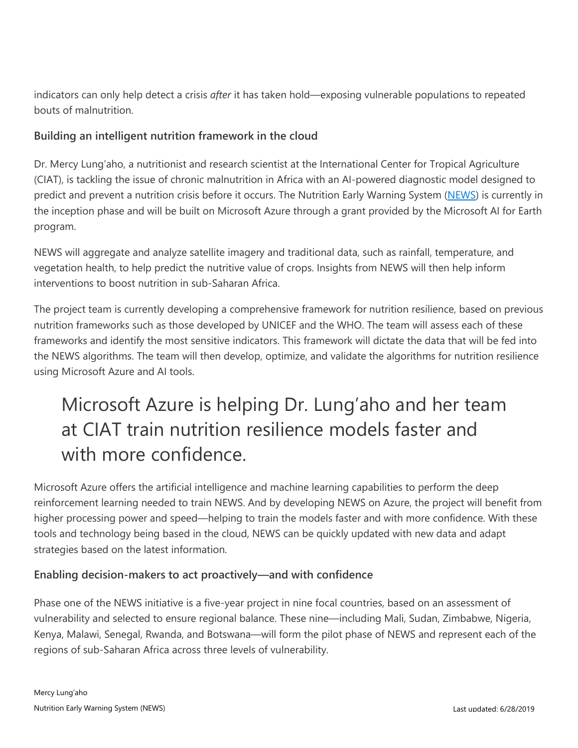indicators can only help detect a crisis *after* it has taken hold—exposing vulnerable populations to repeated bouts of malnutrition.

#### **Building an intelligent nutrition framework in the cloud**

Dr. Mercy Lung'aho, a nutritionist and research scientist at the International Center for Tropical Agriculture (CIAT), is tackling the issue of chronic malnutrition in Africa with an AI-powered diagnostic model designed to predict and prevent a nutrition crisis before it occurs. The Nutrition Early Warning System [\(NEWS\)](https://cgspace.cgiar.org/bitstream/handle/10568/81198/ciat_news_051617.pdf) is currently in the inception phase and will be built on Microsoft Azure through a grant provided by the Microsoft AI for Earth program.

NEWS will aggregate and analyze satellite imagery and traditional data, such as rainfall, temperature, and vegetation health, to help predict the nutritive value of crops. Insights from NEWS will then help inform interventions to boost nutrition in sub-Saharan Africa.

The project team is currently developing a comprehensive framework for nutrition resilience, based on previous nutrition frameworks such as those developed by UNICEF and the WHO. The team will assess each of these frameworks and identify the most sensitive indicators. This framework will dictate the data that will be fed into the NEWS algorithms. The team will then develop, optimize, and validate the algorithms for nutrition resilience using Microsoft Azure and AI tools.

## Microsoft Azure is helping Dr. Lung'aho and her team at CIAT train nutrition resilience models faster and with more confidence.

Microsoft Azure offers the artificial intelligence and machine learning capabilities to perform the deep reinforcement learning needed to train NEWS. And by developing NEWS on Azure, the project will benefit from higher processing power and speed—helping to train the models faster and with more confidence. With these tools and technology being based in the cloud, NEWS can be quickly updated with new data and adapt strategies based on the latest information.

#### **Enabling decision-makers to act proactively—and with confidence**

Phase one of the NEWS initiative is a five-year project in nine focal countries, based on an assessment of vulnerability and selected to ensure regional balance. These nine—including Mali, Sudan, Zimbabwe, Nigeria, Kenya, Malawi, Senegal, Rwanda, and Botswana—will form the pilot phase of NEWS and represent each of the regions of sub-Saharan Africa across three levels of vulnerability.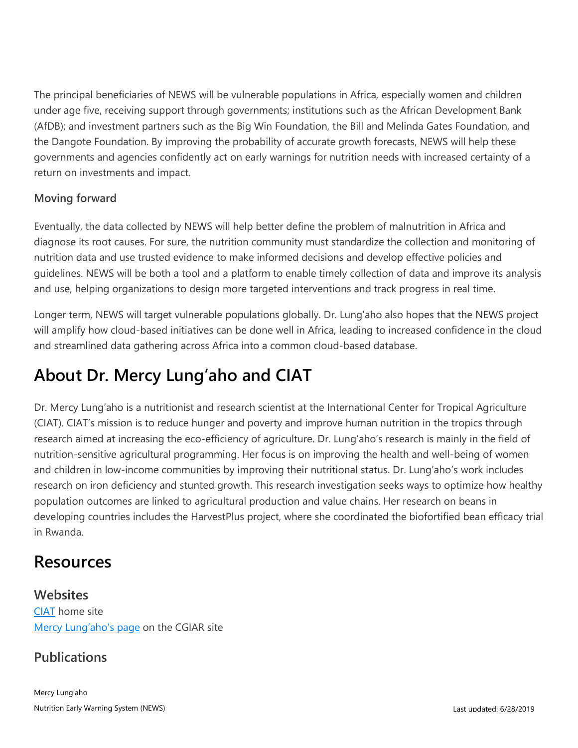The principal beneficiaries of NEWS will be vulnerable populations in Africa, especially women and children under age five, receiving support through governments; institutions such as the African Development Bank (AfDB); and investment partners such as the Big Win Foundation, the Bill and Melinda Gates Foundation, and the Dangote Foundation. By improving the probability of accurate growth forecasts, NEWS will help these governments and agencies confidently act on early warnings for nutrition needs with increased certainty of a return on investments and impact.

#### **Moving forward**

Eventually, the data collected by NEWS will help better define the problem of malnutrition in Africa and diagnose its root causes. For sure, the nutrition community must standardize the collection and monitoring of nutrition data and use trusted evidence to make informed decisions and develop effective policies and guidelines. NEWS will be both a tool and a platform to enable timely collection of data and improve its analysis and use, helping organizations to design more targeted interventions and track progress in real time.

Longer term, NEWS will target vulnerable populations globally. Dr. Lung'aho also hopes that the NEWS project will amplify how cloud-based initiatives can be done well in Africa, leading to increased confidence in the cloud and streamlined data gathering across Africa into a common cloud-based database.

## **About Dr. Mercy Lung'aho and CIAT**

Dr. Mercy Lung'aho is a nutritionist and research scientist at the International Center for Tropical Agriculture (CIAT). CIAT's mission is to reduce hunger and poverty and improve human nutrition in the tropics through research aimed at increasing the eco-efficiency of agriculture. Dr. Lung'aho's research is mainly in the field of nutrition-sensitive agricultural programming. Her focus is on improving the health and well-being of women and children in low-income communities by improving their nutritional status. Dr. Lung'aho's work includes research on iron deficiency and stunted growth. This research investigation seeks ways to optimize how healthy population outcomes are linked to agricultural production and value chains. Her research on beans in developing countries includes the HarvestPlus project, where she coordinated the biofortified bean efficacy trial in Rwanda.

### **Resources**

**Websites** [CIAT](https://ciat.cgiar.org/) home site [Mercy Lung'aho's page](https://bigdata.cgiar.org/ambassadors/mercy-lungaho/) on the CGIAR site

#### **Publications**